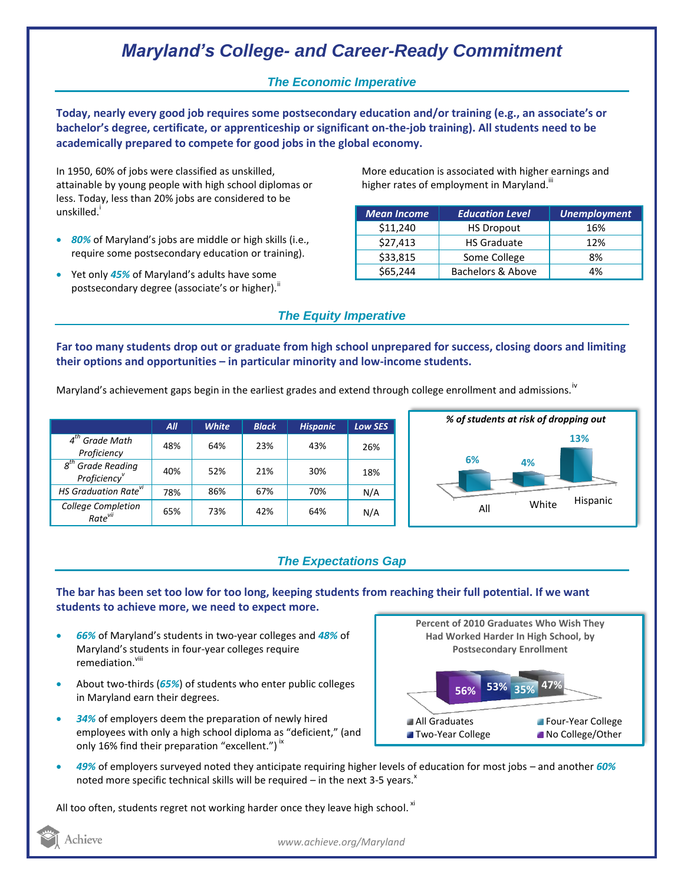# *Maryland's College- and Career-Ready Commitment*

### *The Economic Imperative*

**Today, nearly every good job requires some postsecondary education and/or training (e.g., an associate's or bachelor's degree, certificate, or apprenticeship or significant on-the-job training). All students need to be academically prepared to compete for good jobs in the global economy.**

In 1950, 60% of jobs were classified as unskilled, attainable by young people with high school diplomas or less. Today, less than 20% jobs are considered to be unskilled.<sup>1</sup>

- *80%* of Maryland's jobs are middle or high skills (i.e., require some postsecondary education or training).
- Yet only *45%* of Maryland's adults have some postsecondary degree (associate's or higher).<sup>ii</sup>

More education is associated with higher earnings and higher rates of employment in Maryland.<sup>""</sup>

| <b>Mean Income</b> | <b>Education Level</b> | <b>Unemployment</b> |
|--------------------|------------------------|---------------------|
| \$11,240           | <b>HS Dropout</b>      | 16%                 |
| \$27,413           | <b>HS Graduate</b>     | 12%                 |
| \$33,815           | Some College           | 8%                  |
| \$65,244           | Bachelors & Above      | 4%                  |

## *The Equity Imperative*

**Far too many students drop out or graduate from high school unprepared for success, closing doors and limiting their options and opportunities – in particular minority and low-income students.** 

Maryland's achievement gaps begin in the earliest grades and extend through college enrollment and admissions.<sup>iv</sup>

|                                                  | AII | <b>White</b> | <b>Black</b> | <b>Hispanic</b> | <b>Low SES</b> |
|--------------------------------------------------|-----|--------------|--------------|-----------------|----------------|
| $4th$ Grade Math<br>Proficiency                  | 48% | 64%          | 23%          | 43%             | 26%            |
| $8th$ Grade Reading<br>Proficiency               | 40% | 52%          | 21%          | 30%             | 18%            |
| HS Graduation Rate <sup>vi</sup>                 | 78% | 86%          | 67%          | 70%             | N/A            |
| <b>College Completion</b><br>Rate <sup>vii</sup> | 65% | 73%          | 42%          | 64%             | N/A            |



### *The Expectations Gap*

#### **The bar has been set too low for too long, keeping students from reaching their full potential. If we want students to achieve more, we need to expect more.**

- *66%* of Maryland's students in two-year colleges and *48%* of Maryland's students in four-year colleges require remediation.<sup>viii</sup>
- About two-thirds (*65%*) of students who enter public colleges in Maryland earn their degrees.
- *34%* of employers deem the preparation of newly hired employees with only a high school diploma as "deficient," (and only 16% find their preparation "excellent.")  $\dot{ }$   $\,$



 *49%* of employers surveyed noted they anticipate requiring higher levels of education for most jobs – and another *60%* noted more specific technical skills will be required – in the next 3-5 years. $x$ 

All too often, students regret not working harder once they leave high school.  $^{\text{xi}}$ 

Achieve